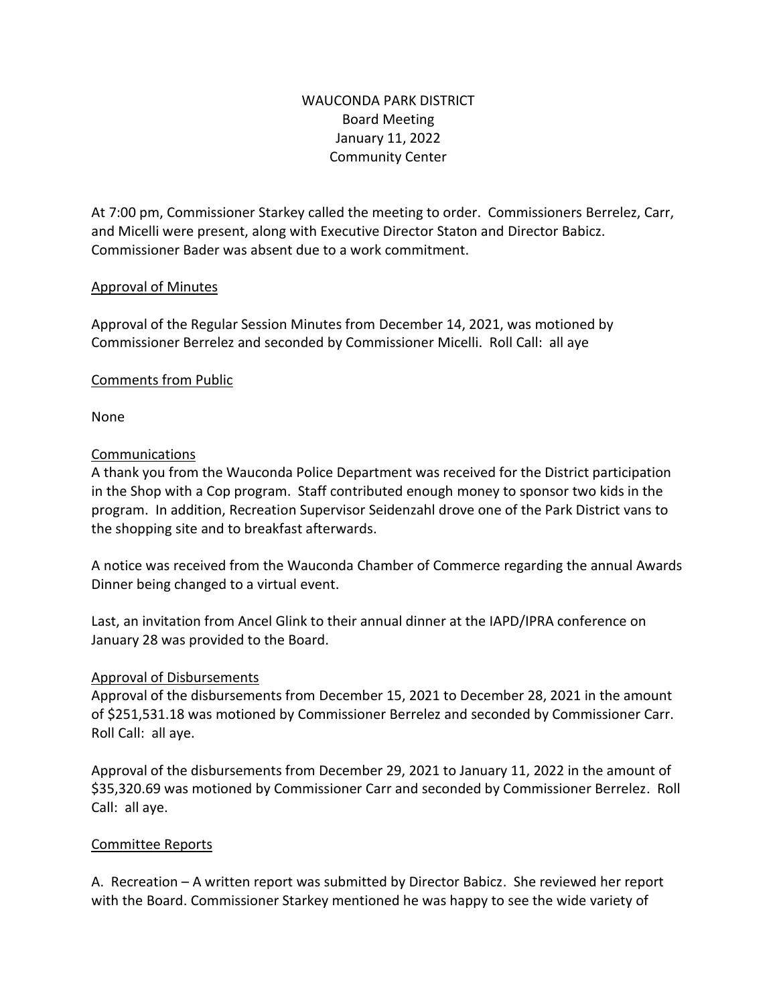# WAUCONDA PARK DISTRICT Board Meeting January 11, 2022 Community Center

At 7:00 pm, Commissioner Starkey called the meeting to order. Commissioners Berrelez, Carr, and Micelli were present, along with Executive Director Staton and Director Babicz. Commissioner Bader was absent due to a work commitment.

# Approval of Minutes

Approval of the Regular Session Minutes from December 14, 2021, was motioned by Commissioner Berrelez and seconded by Commissioner Micelli. Roll Call: all aye

# Comments from Public

None

# Communications

A thank you from the Wauconda Police Department was received for the District participation in the Shop with a Cop program. Staff contributed enough money to sponsor two kids in the program. In addition, Recreation Supervisor Seidenzahl drove one of the Park District vans to the shopping site and to breakfast afterwards.

A notice was received from the Wauconda Chamber of Commerce regarding the annual Awards Dinner being changed to a virtual event.

Last, an invitation from Ancel Glink to their annual dinner at the IAPD/IPRA conference on January 28 was provided to the Board.

# Approval of Disbursements

Approval of the disbursements from December 15, 2021 to December 28, 2021 in the amount of \$251,531.18 was motioned by Commissioner Berrelez and seconded by Commissioner Carr. Roll Call: all aye.

Approval of the disbursements from December 29, 2021 to January 11, 2022 in the amount of \$35,320.69 was motioned by Commissioner Carr and seconded by Commissioner Berrelez. Roll Call: all aye.

# Committee Reports

A. Recreation – A written report was submitted by Director Babicz. She reviewed her report with the Board. Commissioner Starkey mentioned he was happy to see the wide variety of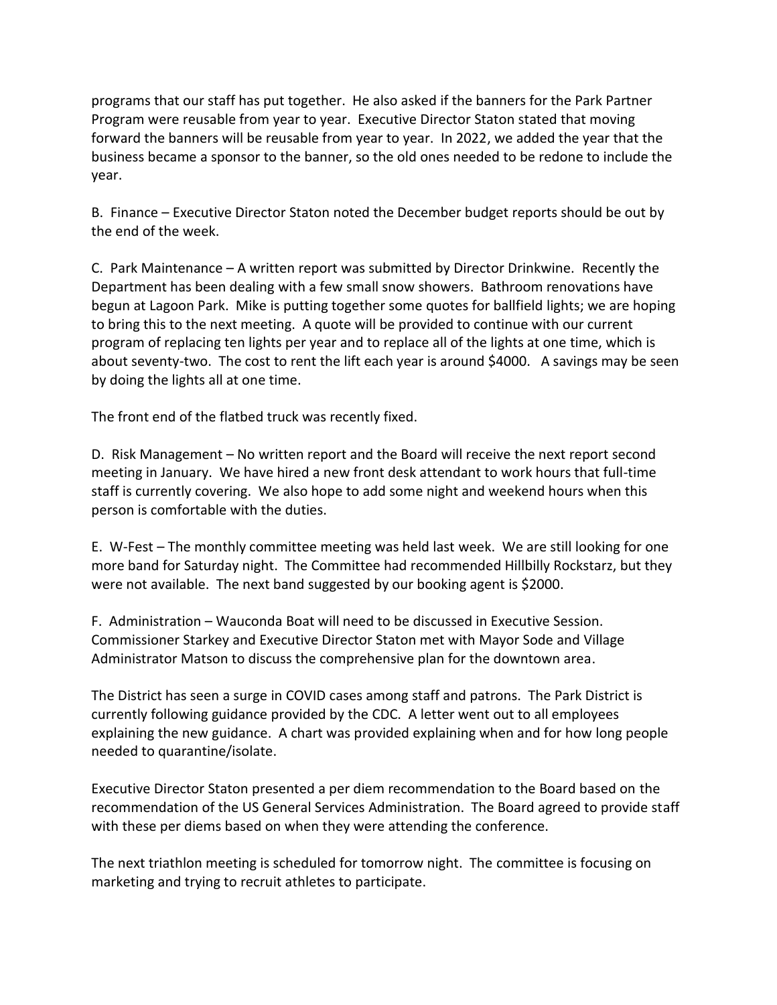programs that our staff has put together. He also asked if the banners for the Park Partner Program were reusable from year to year. Executive Director Staton stated that moving forward the banners will be reusable from year to year. In 2022, we added the year that the business became a sponsor to the banner, so the old ones needed to be redone to include the year.

B. Finance – Executive Director Staton noted the December budget reports should be out by the end of the week.

C. Park Maintenance – A written report was submitted by Director Drinkwine. Recently the Department has been dealing with a few small snow showers. Bathroom renovations have begun at Lagoon Park. Mike is putting together some quotes for ballfield lights; we are hoping to bring this to the next meeting. A quote will be provided to continue with our current program of replacing ten lights per year and to replace all of the lights at one time, which is about seventy-two. The cost to rent the lift each year is around \$4000. A savings may be seen by doing the lights all at one time.

The front end of the flatbed truck was recently fixed.

D. Risk Management – No written report and the Board will receive the next report second meeting in January. We have hired a new front desk attendant to work hours that full-time staff is currently covering. We also hope to add some night and weekend hours when this person is comfortable with the duties.

E. W-Fest – The monthly committee meeting was held last week. We are still looking for one more band for Saturday night. The Committee had recommended Hillbilly Rockstarz, but they were not available. The next band suggested by our booking agent is \$2000.

F. Administration – Wauconda Boat will need to be discussed in Executive Session. Commissioner Starkey and Executive Director Staton met with Mayor Sode and Village Administrator Matson to discuss the comprehensive plan for the downtown area.

The District has seen a surge in COVID cases among staff and patrons. The Park District is currently following guidance provided by the CDC. A letter went out to all employees explaining the new guidance. A chart was provided explaining when and for how long people needed to quarantine/isolate.

Executive Director Staton presented a per diem recommendation to the Board based on the recommendation of the US General Services Administration. The Board agreed to provide staff with these per diems based on when they were attending the conference.

The next triathlon meeting is scheduled for tomorrow night. The committee is focusing on marketing and trying to recruit athletes to participate.